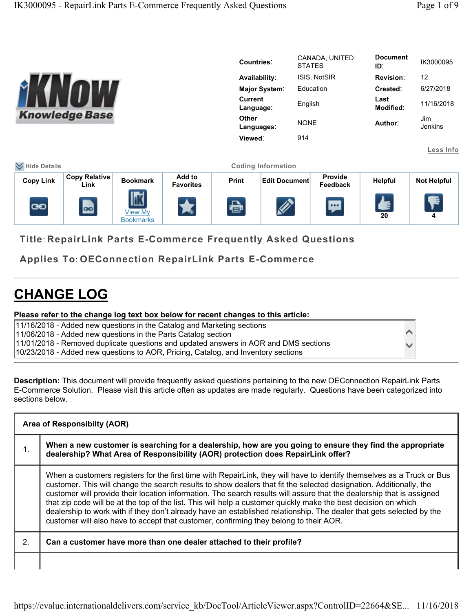$\blacktriangle$  $\blacktriangledown$ 

|                                                                      |                              |                                    |                            | <b>Countries:</b> |                             | <b>STATES</b> | CANADA, UNITED      | <b>Document</b><br>ID: | IK3000095          |
|----------------------------------------------------------------------|------------------------------|------------------------------------|----------------------------|-------------------|-----------------------------|---------------|---------------------|------------------------|--------------------|
|                                                                      |                              |                                    |                            |                   | Availability:               |               | ISIS, NotSIR        | <b>Revision:</b>       | 12                 |
|                                                                      |                              |                                    |                            | Major System:     |                             | Education     |                     | Created:               | 6/27/2018          |
|                                                                      |                              |                                    |                            |                   | <b>Current</b><br>Language: |               | English             | Last<br>Modified:      | 11/16/2018         |
|                                                                      | <b>Knowledge Base</b>        |                                    |                            | <b>Other</b>      | Languages:                  | <b>NONE</b>   |                     | Author:                | Jim<br>Jenkins     |
|                                                                      |                              |                                    |                            | Viewed:           |                             | 914           |                     |                        |                    |
|                                                                      |                              |                                    |                            |                   |                             |               |                     |                        | Less Info          |
| <b>₩</b> Hide Details                                                |                              |                                    |                            |                   | <b>Coding Information</b>   |               |                     |                        |                    |
| <b>Copy Link</b>                                                     | <b>Copy Relative</b><br>Link | <b>Bookmark</b>                    | Add to<br><b>Favorites</b> | Print             | <b>Edit Document</b>        |               | Provide<br>Feedback | Helpful                | <b>Not Helpful</b> |
| ෛ                                                                    | $\blacksquare$               | <b>View My</b><br><b>Bookmarks</b> | ★                          | $\bigoplus$       | $\mathscr{L}$               |               | $\mathbf{w}$        | ≰<br>20                | Ł<br>4             |
| <b>Title: RepairLink Parts E-Commerce Frequently Asked Questions</b> |                              |                                    |                            |                   |                             |               |                     |                        |                    |

Applies To: OEConnection RepairLink Parts E-Commerce

## CHANGE LOG

## Please refer to the change log text box below for recent changes to this article:

| 11/16/2018 - Added new questions in the Catalog and Marketing sections               |
|--------------------------------------------------------------------------------------|
| 11/06/2018 - Added new questions in the Parts Catalog section                        |
| 11/01/2018 - Removed duplicate questions and updated answers in AOR and DMS sections |
| 10/23/2018 - Added new questions to AOR, Pricing, Catalog, and Inventory sections    |

Description: This document will provide frequently asked questions pertaining to the new OEConnection RepairLink Parts E-Commerce Solution. Please visit this article often as updates are made regularly. Questions have been categorized into sections below.

|    | Area of Responsibilty (AOR)                                                                                                                                                                                                                                                                                                                                                                                                                                                                                                                                                                                                                                                                               |  |  |  |  |  |
|----|-----------------------------------------------------------------------------------------------------------------------------------------------------------------------------------------------------------------------------------------------------------------------------------------------------------------------------------------------------------------------------------------------------------------------------------------------------------------------------------------------------------------------------------------------------------------------------------------------------------------------------------------------------------------------------------------------------------|--|--|--|--|--|
| ι. | When a new customer is searching for a dealership, how are you going to ensure they find the appropriate<br>dealership? What Area of Responsibility (AOR) protection does RepairLink offer?                                                                                                                                                                                                                                                                                                                                                                                                                                                                                                               |  |  |  |  |  |
|    | When a customers registers for the first time with RepairLink, they will have to identify themselves as a Truck or Bus<br>customer. This will change the search results to show dealers that fit the selected designation. Additionally, the<br>customer will provide their location information. The search results will assure that the dealership that is assigned<br>that zip code will be at the top of the list. This will help a customer quickly make the best decision on which<br>dealership to work with if they don't already have an established relationship. The dealer that gets selected by the<br>customer will also have to accept that customer, confirming they belong to their AOR. |  |  |  |  |  |
| 2. | Can a customer have more than one dealer attached to their profile?                                                                                                                                                                                                                                                                                                                                                                                                                                                                                                                                                                                                                                       |  |  |  |  |  |
|    |                                                                                                                                                                                                                                                                                                                                                                                                                                                                                                                                                                                                                                                                                                           |  |  |  |  |  |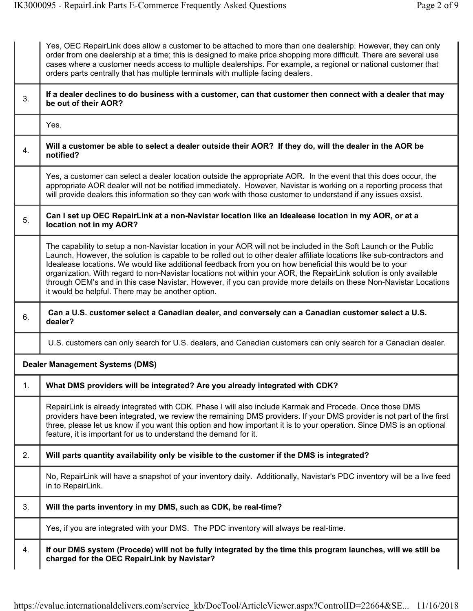|    | Yes, OEC RepairLink does allow a customer to be attached to more than one dealership. However, they can only<br>order from one dealership at a time; this is designed to make price shopping more difficult. There are several use<br>cases where a customer needs access to multiple dealerships. For example, a regional or national customer that<br>orders parts centrally that has multiple terminals with multiple facing dealers.                                                                                                                                                                                                               |
|----|--------------------------------------------------------------------------------------------------------------------------------------------------------------------------------------------------------------------------------------------------------------------------------------------------------------------------------------------------------------------------------------------------------------------------------------------------------------------------------------------------------------------------------------------------------------------------------------------------------------------------------------------------------|
| 3. | If a dealer declines to do business with a customer, can that customer then connect with a dealer that may<br>be out of their AOR?                                                                                                                                                                                                                                                                                                                                                                                                                                                                                                                     |
|    | Yes.                                                                                                                                                                                                                                                                                                                                                                                                                                                                                                                                                                                                                                                   |
| 4. | Will a customer be able to select a dealer outside their AOR? If they do, will the dealer in the AOR be<br>notified?                                                                                                                                                                                                                                                                                                                                                                                                                                                                                                                                   |
|    | Yes, a customer can select a dealer location outside the appropriate AOR. In the event that this does occur, the<br>appropriate AOR dealer will not be notified immediately. However, Navistar is working on a reporting process that<br>will provide dealers this information so they can work with those customer to understand if any issues exsist.                                                                                                                                                                                                                                                                                                |
| 5. | Can I set up OEC RepairLink at a non-Navistar location like an Idealease location in my AOR, or at a<br>location not in my AOR?                                                                                                                                                                                                                                                                                                                                                                                                                                                                                                                        |
|    | The capability to setup a non-Navistar location in your AOR will not be included in the Soft Launch or the Public<br>Launch. However, the solution is capable to be rolled out to other dealer affiliate locations like sub-contractors and<br>Idealease locations. We would like additional feedback from you on how beneficial this would be to your<br>organization. With regard to non-Navistar locations not within your AOR, the RepairLink solution is only available<br>through OEM's and in this case Navistar. However, if you can provide more details on these Non-Navistar Locations<br>it would be helpful. There may be another option. |
| 6. | Can a U.S. customer select a Canadian dealer, and conversely can a Canadian customer select a U.S.<br>dealer?                                                                                                                                                                                                                                                                                                                                                                                                                                                                                                                                          |
|    | U.S. customers can only search for U.S. dealers, and Canadian customers can only search for a Canadian dealer.                                                                                                                                                                                                                                                                                                                                                                                                                                                                                                                                         |
|    | <b>Dealer Management Systems (DMS)</b>                                                                                                                                                                                                                                                                                                                                                                                                                                                                                                                                                                                                                 |
| 1. | What DMS providers will be integrated? Are you already integrated with CDK?                                                                                                                                                                                                                                                                                                                                                                                                                                                                                                                                                                            |
|    | RepairLink is already integrated with CDK. Phase I will also include Karmak and Procede. Once those DMS<br>providers have been integrated, we review the remaining DMS providers. If your DMS provider is not part of the first<br>three, please let us know if you want this option and how important it is to your operation. Since DMS is an optional<br>feature, it is important for us to understand the demand for it.                                                                                                                                                                                                                           |
| 2. | Will parts quantity availability only be visible to the customer if the DMS is integrated?                                                                                                                                                                                                                                                                                                                                                                                                                                                                                                                                                             |
|    | No, RepairLink will have a snapshot of your inventory daily. Additionally, Navistar's PDC inventory will be a live feed<br>in to RepairLink.                                                                                                                                                                                                                                                                                                                                                                                                                                                                                                           |
| 3. | Will the parts inventory in my DMS, such as CDK, be real-time?                                                                                                                                                                                                                                                                                                                                                                                                                                                                                                                                                                                         |
|    | Yes, if you are integrated with your DMS. The PDC inventory will always be real-time.                                                                                                                                                                                                                                                                                                                                                                                                                                                                                                                                                                  |
| 4. | If our DMS system (Procede) will not be fully integrated by the time this program launches, will we still be<br>charged for the OEC RepairLink by Navistar?                                                                                                                                                                                                                                                                                                                                                                                                                                                                                            |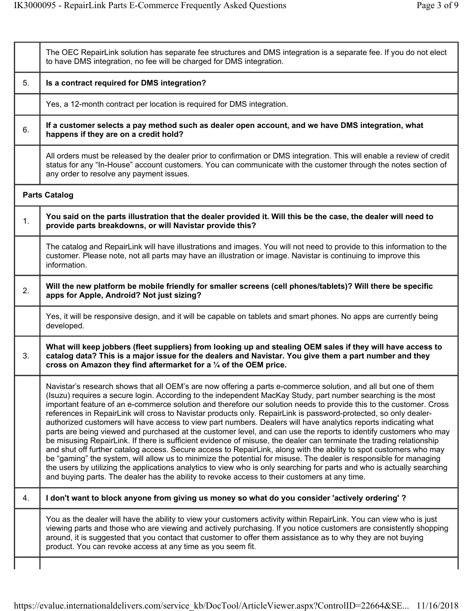|    | The OEC RepairLink solution has separate fee structures and DMS integration is a separate fee. If you do not elect<br>to have DMS integration, no fee will be charged for DMS integration.                                                                                                                                                                                                                                                                                                                                                                                                                                                                                                                                                                                                                                                                                                                                                                                                                                                                                                                                                                                                                                                                                                                         |
|----|--------------------------------------------------------------------------------------------------------------------------------------------------------------------------------------------------------------------------------------------------------------------------------------------------------------------------------------------------------------------------------------------------------------------------------------------------------------------------------------------------------------------------------------------------------------------------------------------------------------------------------------------------------------------------------------------------------------------------------------------------------------------------------------------------------------------------------------------------------------------------------------------------------------------------------------------------------------------------------------------------------------------------------------------------------------------------------------------------------------------------------------------------------------------------------------------------------------------------------------------------------------------------------------------------------------------|
| 5. | Is a contract required for DMS integration?                                                                                                                                                                                                                                                                                                                                                                                                                                                                                                                                                                                                                                                                                                                                                                                                                                                                                                                                                                                                                                                                                                                                                                                                                                                                        |
|    | Yes, a 12-month contract per location is required for DMS integration.                                                                                                                                                                                                                                                                                                                                                                                                                                                                                                                                                                                                                                                                                                                                                                                                                                                                                                                                                                                                                                                                                                                                                                                                                                             |
| 6. | If a customer selects a pay method such as dealer open account, and we have DMS integration, what<br>happens if they are on a credit hold?                                                                                                                                                                                                                                                                                                                                                                                                                                                                                                                                                                                                                                                                                                                                                                                                                                                                                                                                                                                                                                                                                                                                                                         |
|    | All orders must be released by the dealer prior to confirmation or DMS integration. This will enable a review of credit<br>status for any "In-House" account customers. You can communicate with the customer through the notes section of<br>any order to resolve any payment issues.                                                                                                                                                                                                                                                                                                                                                                                                                                                                                                                                                                                                                                                                                                                                                                                                                                                                                                                                                                                                                             |
|    | <b>Parts Catalog</b>                                                                                                                                                                                                                                                                                                                                                                                                                                                                                                                                                                                                                                                                                                                                                                                                                                                                                                                                                                                                                                                                                                                                                                                                                                                                                               |
| 1. | You said on the parts illustration that the dealer provided it. Will this be the case, the dealer will need to<br>provide parts breakdowns, or will Navistar provide this?                                                                                                                                                                                                                                                                                                                                                                                                                                                                                                                                                                                                                                                                                                                                                                                                                                                                                                                                                                                                                                                                                                                                         |
|    | The catalog and RepairLink will have illustrations and images. You will not need to provide to this information to the<br>customer. Please note, not all parts may have an illustration or image. Navistar is continuing to improve this<br>information.                                                                                                                                                                                                                                                                                                                                                                                                                                                                                                                                                                                                                                                                                                                                                                                                                                                                                                                                                                                                                                                           |
| 2. | Will the new platform be mobile friendly for smaller screens (cell phones/tablets)? Will there be specific<br>apps for Apple, Android? Not just sizing?                                                                                                                                                                                                                                                                                                                                                                                                                                                                                                                                                                                                                                                                                                                                                                                                                                                                                                                                                                                                                                                                                                                                                            |
|    | Yes, it will be responsive design, and it will be capable on tablets and smart phones. No apps are currently being<br>developed.                                                                                                                                                                                                                                                                                                                                                                                                                                                                                                                                                                                                                                                                                                                                                                                                                                                                                                                                                                                                                                                                                                                                                                                   |
| 3. | What will keep jobbers (fleet suppliers) from looking up and stealing OEM sales if they will have access to<br>catalog data? This is a major issue for the dealers and Navistar. You give them a part number and they<br>cross on Amazon they find aftermarket for a 1/4 of the OEM price.                                                                                                                                                                                                                                                                                                                                                                                                                                                                                                                                                                                                                                                                                                                                                                                                                                                                                                                                                                                                                         |
|    | Navistar's research shows that all OEM's are now offering a parts e-commerce solution, and all but one of them<br>(Isuzu) requires a secure login. According to the independent MacKay Study, part number searching is the most<br>important feature of an e-commerce solution and therefore our solution needs to provide this to the customer. Cross<br>references in RepairLink will cross to Navistar products only. RepairLink is password-protected, so only dealer-<br>authorized customers will have access to view part numbers. Dealers will have analytics reports indicating what<br>parts are being viewed and purchased at the customer level, and can use the reports to identify customers who may<br>be misusing RepairLink. If there is sufficient evidence of misuse, the dealer can terminate the trading relationship<br>and shut off further catalog access. Secure access to RepairLink, along with the ability to spot customers who may<br>be "gaming" the system, will allow us to minimize the potential for misuse. The dealer is responsible for managing<br>the users by utilizing the applications analytics to view who is only searching for parts and who is actually searching<br>and buying parts. The dealer has the ability to revoke access to their customers at any time. |
| 4. | I don't want to block anyone from giving us money so what do you consider 'actively ordering' ?                                                                                                                                                                                                                                                                                                                                                                                                                                                                                                                                                                                                                                                                                                                                                                                                                                                                                                                                                                                                                                                                                                                                                                                                                    |
|    | You as the dealer will have the ability to view your customers activity within RepairLink. You can view who is just<br>viewing parts and those who are viewing and actively purchasing. If you notice customers are consistently shopping<br>around, it is suggested that you contact that customer to offer them assistance as to why they are not buying<br>product. You can revoke access at any time as you seem fit.                                                                                                                                                                                                                                                                                                                                                                                                                                                                                                                                                                                                                                                                                                                                                                                                                                                                                          |
|    |                                                                                                                                                                                                                                                                                                                                                                                                                                                                                                                                                                                                                                                                                                                                                                                                                                                                                                                                                                                                                                                                                                                                                                                                                                                                                                                    |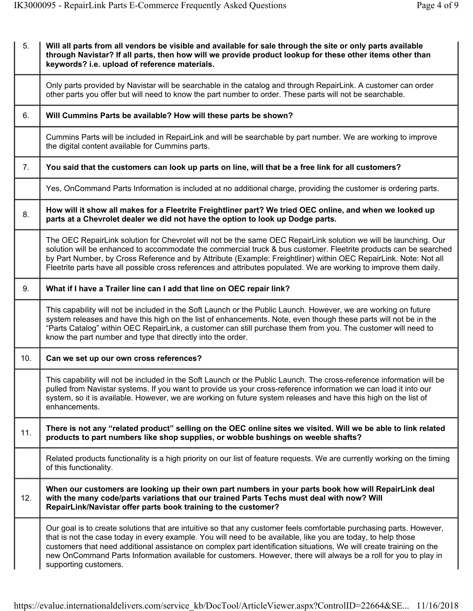| 5.  | Will all parts from all vendors be visible and available for sale through the site or only parts available<br>through Navistar? If all parts, then how will we provide product lookup for these other items other than<br>keywords? i.e. upload of reference materials.                                                                                                                                                                                                                                   |
|-----|-----------------------------------------------------------------------------------------------------------------------------------------------------------------------------------------------------------------------------------------------------------------------------------------------------------------------------------------------------------------------------------------------------------------------------------------------------------------------------------------------------------|
|     | Only parts provided by Navistar will be searchable in the catalog and through RepairLink. A customer can order<br>other parts you offer but will need to know the part number to order. These parts will not be searchable.                                                                                                                                                                                                                                                                               |
| 6.  | Will Cummins Parts be available? How will these parts be shown?                                                                                                                                                                                                                                                                                                                                                                                                                                           |
|     | Cummins Parts will be included in RepairLink and will be searchable by part number. We are working to improve<br>the digital content available for Cummins parts.                                                                                                                                                                                                                                                                                                                                         |
| 7.  | You said that the customers can look up parts on line, will that be a free link for all customers?                                                                                                                                                                                                                                                                                                                                                                                                        |
|     | Yes, OnCommand Parts Information is included at no additional charge, providing the customer is ordering parts.                                                                                                                                                                                                                                                                                                                                                                                           |
| 8.  | How will it show all makes for a Fleetrite Freightliner part? We tried OEC online, and when we looked up<br>parts at a Chevrolet dealer we did not have the option to look up Dodge parts.                                                                                                                                                                                                                                                                                                                |
|     | The OEC RepairLink solution for Chevrolet will not be the same OEC RepairLink solution we will be launching. Our<br>solution will be enhanced to accommodate the commercial truck & bus customer. Fleetrite products can be searched<br>by Part Number, by Cross Reference and by Attribute (Example: Freightliner) within OEC RepairLink. Note: Not all<br>Fleetrite parts have all possible cross references and attributes populated. We are working to improve them daily.                            |
| 9.  | What if I have a Trailer line can I add that line on OEC repair link?                                                                                                                                                                                                                                                                                                                                                                                                                                     |
|     | This capability will not be included in the Soft Launch or the Public Launch. However, we are working on future<br>system releases and have this high on the list of enhancements. Note, even though these parts will not be in the<br>"Parts Catalog" within OEC RepairLink, a customer can still purchase them from you. The customer will need to<br>know the part number and type that directly into the order.                                                                                       |
| 10. | Can we set up our own cross references?                                                                                                                                                                                                                                                                                                                                                                                                                                                                   |
|     | This capability will not be included in the Soft Launch or the Public Launch. The cross-reference information will be<br>pulled from Navistar systems. If you want to provide us your cross-reference information we can load it into our<br>system, so it is available. However, we are working on future system releases and have this high on the list of<br>enhancements.                                                                                                                             |
| 11. | There is not any "related product" selling on the OEC online sites we visited. Will we be able to link related<br>products to part numbers like shop supplies, or wobble bushings on weeble shafts?                                                                                                                                                                                                                                                                                                       |
|     | Related products functionality is a high priority on our list of feature requests. We are currently working on the timing<br>of this functionality.                                                                                                                                                                                                                                                                                                                                                       |
| 12. | When our customers are looking up their own part numbers in your parts book how will RepairLink deal<br>with the many code/parts variations that our trained Parts Techs must deal with now? Will<br>RepairLink/Navistar offer parts book training to the customer?                                                                                                                                                                                                                                       |
|     | Our goal is to create solutions that are intuitive so that any customer feels comfortable purchasing parts. However,<br>that is not the case today in every example. You will need to be available, like you are today, to help those<br>customers that need additional assistance on complex part identification situations. We will create training on the<br>new OnCommand Parts Information available for customers. However, there will always be a roll for you to play in<br>supporting customers. |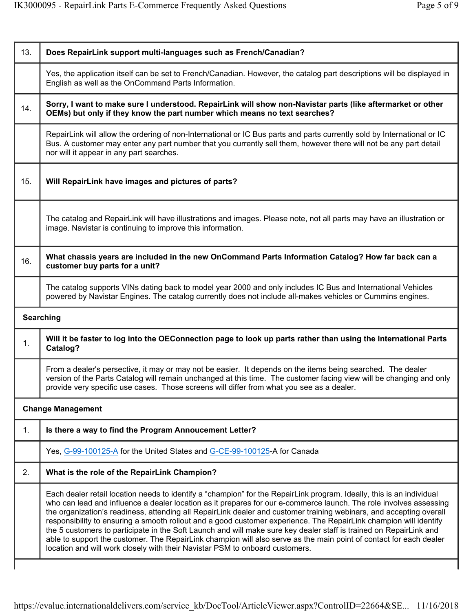| 13. | Does RepairLink support multi-languages such as French/Canadian?                                                                                                                                                                                                                                                                                                                                                                                                                                                                                                                                                                                                                                                                                                                                                    |
|-----|---------------------------------------------------------------------------------------------------------------------------------------------------------------------------------------------------------------------------------------------------------------------------------------------------------------------------------------------------------------------------------------------------------------------------------------------------------------------------------------------------------------------------------------------------------------------------------------------------------------------------------------------------------------------------------------------------------------------------------------------------------------------------------------------------------------------|
|     | Yes, the application itself can be set to French/Canadian. However, the catalog part descriptions will be displayed in<br>English as well as the OnCommand Parts Information.                                                                                                                                                                                                                                                                                                                                                                                                                                                                                                                                                                                                                                       |
| 14. | Sorry, I want to make sure I understood. RepairLink will show non-Navistar parts (like aftermarket or other<br>OEMs) but only if they know the part number which means no text searches?                                                                                                                                                                                                                                                                                                                                                                                                                                                                                                                                                                                                                            |
|     | RepairLink will allow the ordering of non-International or IC Bus parts and parts currently sold by International or IC<br>Bus. A customer may enter any part number that you currently sell them, however there will not be any part detail<br>nor will it appear in any part searches.                                                                                                                                                                                                                                                                                                                                                                                                                                                                                                                            |
| 15. | Will RepairLink have images and pictures of parts?                                                                                                                                                                                                                                                                                                                                                                                                                                                                                                                                                                                                                                                                                                                                                                  |
|     | The catalog and RepairLink will have illustrations and images. Please note, not all parts may have an illustration or<br>image. Navistar is continuing to improve this information.                                                                                                                                                                                                                                                                                                                                                                                                                                                                                                                                                                                                                                 |
| 16. | What chassis years are included in the new OnCommand Parts Information Catalog? How far back can a<br>customer buy parts for a unit?                                                                                                                                                                                                                                                                                                                                                                                                                                                                                                                                                                                                                                                                                |
|     | The catalog supports VINs dating back to model year 2000 and only includes IC Bus and International Vehicles<br>powered by Navistar Engines. The catalog currently does not include all-makes vehicles or Cummins engines.                                                                                                                                                                                                                                                                                                                                                                                                                                                                                                                                                                                          |
|     | <b>Searching</b>                                                                                                                                                                                                                                                                                                                                                                                                                                                                                                                                                                                                                                                                                                                                                                                                    |
| 1.  | Will it be faster to log into the OEConnection page to look up parts rather than using the International Parts<br>Catalog?                                                                                                                                                                                                                                                                                                                                                                                                                                                                                                                                                                                                                                                                                          |
|     | From a dealer's persective, it may or may not be easier. It depends on the items being searched. The dealer<br>version of the Parts Catalog will remain unchanged at this time. The customer facing view will be changing and only<br>provide very specific use cases. Those screens will differ from what you see as a dealer.                                                                                                                                                                                                                                                                                                                                                                                                                                                                                     |
|     | <b>Change Management</b>                                                                                                                                                                                                                                                                                                                                                                                                                                                                                                                                                                                                                                                                                                                                                                                            |
| 1.  | Is there a way to find the Program Annoucement Letter?                                                                                                                                                                                                                                                                                                                                                                                                                                                                                                                                                                                                                                                                                                                                                              |
|     | Yes, G-99-100125-A for the United States and G-CE-99-100125-A for Canada                                                                                                                                                                                                                                                                                                                                                                                                                                                                                                                                                                                                                                                                                                                                            |
| 2.  | What is the role of the RepairLink Champion?                                                                                                                                                                                                                                                                                                                                                                                                                                                                                                                                                                                                                                                                                                                                                                        |
|     | Each dealer retail location needs to identify a "champion" for the RepairLink program. Ideally, this is an individual<br>who can lead and influence a dealer location as it prepares for our e-commerce launch. The role involves assessing<br>the organization's readiness, attending all RepairLink dealer and customer training webinars, and accepting overall<br>responsibility to ensuring a smooth rollout and a good customer experience. The RepairLink champion will identify<br>the 5 customers to participate in the Soft Launch and will make sure key dealer staff is trained on RepairLink and<br>able to support the customer. The RepairLink champion will also serve as the main point of contact for each dealer<br>location and will work closely with their Navistar PSM to onboard customers. |
|     |                                                                                                                                                                                                                                                                                                                                                                                                                                                                                                                                                                                                                                                                                                                                                                                                                     |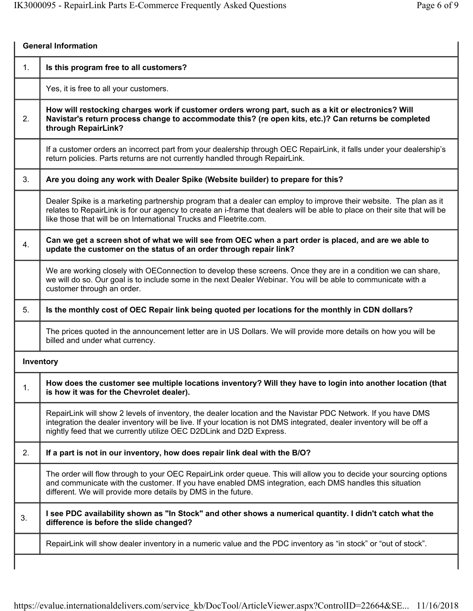| 1. | Is this program free to all customers?                                                                                                                                                                                                                                                                                |
|----|-----------------------------------------------------------------------------------------------------------------------------------------------------------------------------------------------------------------------------------------------------------------------------------------------------------------------|
|    | Yes, it is free to all your customers.                                                                                                                                                                                                                                                                                |
| 2. | How will restocking charges work if customer orders wrong part, such as a kit or electronics? Will<br>Navistar's return process change to accommodate this? (re open kits, etc.)? Can returns be completed<br>through RepairLink?                                                                                     |
|    | If a customer orders an incorrect part from your dealership through OEC RepairLink, it falls under your dealership's<br>return policies. Parts returns are not currently handled through RepairLink.                                                                                                                  |
| 3. | Are you doing any work with Dealer Spike (Website builder) to prepare for this?                                                                                                                                                                                                                                       |
|    | Dealer Spike is a marketing partnership program that a dealer can employ to improve their website. The plan as it<br>relates to RepairLink is for our agency to create an i-frame that dealers will be able to place on their site that will be<br>like those that will be on International Trucks and Fleetrite.com. |
| 4. | Can we get a screen shot of what we will see from OEC when a part order is placed, and are we able to<br>update the customer on the status of an order through repair link?                                                                                                                                           |
|    | We are working closely with OEConnection to develop these screens. Once they are in a condition we can share,<br>we will do so. Our goal is to include some in the next Dealer Webinar. You will be able to communicate with a<br>customer through an order.                                                          |
| 5. | Is the monthly cost of OEC Repair link being quoted per locations for the monthly in CDN dollars?                                                                                                                                                                                                                     |
|    | The prices quoted in the announcement letter are in US Dollars. We will provide more details on how you will be<br>billed and under what currency.                                                                                                                                                                    |
|    | Inventory                                                                                                                                                                                                                                                                                                             |
| 1. | How does the customer see multiple locations inventory? Will they have to login into another location (that<br>is how it was for the Chevrolet dealer).                                                                                                                                                               |
|    | RepairLink will show 2 levels of inventory, the dealer location and the Navistar PDC Network. If you have DMS<br>integration the dealer inventory will be live. If your location is not DMS integrated, dealer inventory will be off a<br>nightly feed that we currently utilize OEC D2DLink and D2D Express.         |
| 2. | If a part is not in our inventory, how does repair link deal with the B/O?                                                                                                                                                                                                                                            |
|    | The order will flow through to your OEC RepairLink order queue. This will allow you to decide your sourcing options<br>and communicate with the customer. If you have enabled DMS integration, each DMS handles this situation<br>different. We will provide more details by DMS in the future.                       |
| 3. | I see PDC availability shown as "In Stock" and other shows a numerical quantity. I didn't catch what the<br>difference is before the slide changed?                                                                                                                                                                   |
|    | RepairLink will show dealer inventory in a numeric value and the PDC inventory as "in stock" or "out of stock".                                                                                                                                                                                                       |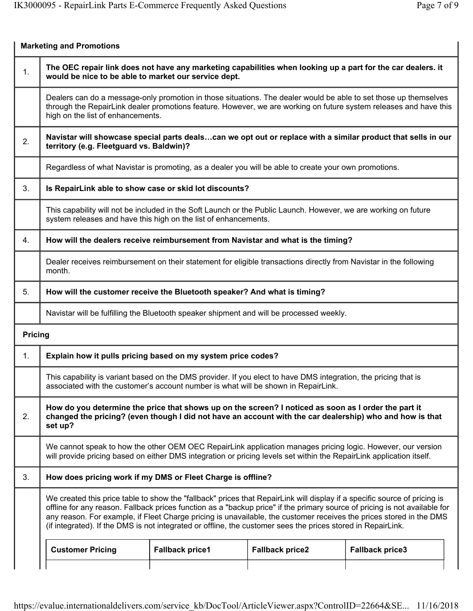|                | <b>Marketing and Promotions</b>                                                                                                                                                                                                                                                                                                                                                                                                                                                                |                        |                        |                        |  |  |
|----------------|------------------------------------------------------------------------------------------------------------------------------------------------------------------------------------------------------------------------------------------------------------------------------------------------------------------------------------------------------------------------------------------------------------------------------------------------------------------------------------------------|------------------------|------------------------|------------------------|--|--|
| 1.             | The OEC repair link does not have any marketing capabilities when looking up a part for the car dealers. it<br>would be nice to be able to market our service dept.                                                                                                                                                                                                                                                                                                                            |                        |                        |                        |  |  |
|                | Dealers can do a message-only promotion in those situations. The dealer would be able to set those up themselves<br>through the RepairLink dealer promotions feature. However, we are working on future system releases and have this<br>high on the list of enhancements.                                                                                                                                                                                                                     |                        |                        |                        |  |  |
| 2.             | Navistar will showcase special parts dealscan we opt out or replace with a similar product that sells in our<br>territory (e.g. Fleetguard vs. Baldwin)?                                                                                                                                                                                                                                                                                                                                       |                        |                        |                        |  |  |
|                | Regardless of what Navistar is promoting, as a dealer you will be able to create your own promotions.                                                                                                                                                                                                                                                                                                                                                                                          |                        |                        |                        |  |  |
| 3.             | Is RepairLink able to show case or skid lot discounts?                                                                                                                                                                                                                                                                                                                                                                                                                                         |                        |                        |                        |  |  |
|                | This capability will not be included in the Soft Launch or the Public Launch. However, we are working on future<br>system releases and have this high on the list of enhancements.                                                                                                                                                                                                                                                                                                             |                        |                        |                        |  |  |
| 4.             | How will the dealers receive reimbursement from Navistar and what is the timing?                                                                                                                                                                                                                                                                                                                                                                                                               |                        |                        |                        |  |  |
|                | Dealer receives reimbursement on their statement for eligible transactions directly from Navistar in the following<br>month.                                                                                                                                                                                                                                                                                                                                                                   |                        |                        |                        |  |  |
| 5.             | How will the customer receive the Bluetooth speaker? And what is timing?                                                                                                                                                                                                                                                                                                                                                                                                                       |                        |                        |                        |  |  |
|                | Navistar will be fulfilling the Bluetooth speaker shipment and will be processed weekly.                                                                                                                                                                                                                                                                                                                                                                                                       |                        |                        |                        |  |  |
| <b>Pricing</b> |                                                                                                                                                                                                                                                                                                                                                                                                                                                                                                |                        |                        |                        |  |  |
| 1.             | Explain how it pulls pricing based on my system price codes?                                                                                                                                                                                                                                                                                                                                                                                                                                   |                        |                        |                        |  |  |
|                | This capability is variant based on the DMS provider. If you elect to have DMS integration, the pricing that is<br>associated with the customer's account number is what will be shown in RepairLink.                                                                                                                                                                                                                                                                                          |                        |                        |                        |  |  |
| 2.             | How do you determine the price that shows up on the screen? I noticed as soon as I order the part it<br>changed the pricing? (even though I did not have an account with the car dealership) who and how is that<br>set up?                                                                                                                                                                                                                                                                    |                        |                        |                        |  |  |
|                | We cannot speak to how the other OEM OEC RepairLink application manages pricing logic. However, our version<br>will provide pricing based on either DMS integration or pricing levels set within the RepairLink application itself.                                                                                                                                                                                                                                                            |                        |                        |                        |  |  |
| 3.             | How does pricing work if my DMS or Fleet Charge is offline?                                                                                                                                                                                                                                                                                                                                                                                                                                    |                        |                        |                        |  |  |
|                | We created this price table to show the "fallback" prices that RepairLink will display if a specific source of pricing is<br>offline for any reason. Fallback prices function as a "backup price" if the primary source of pricing is not available for<br>any reason. For example, if Fleet Charge pricing is unavailable, the customer receives the prices stored in the DMS<br>(if integrated). If the DMS is not integrated or offline, the customer sees the prices stored in RepairLink. |                        |                        |                        |  |  |
|                | <b>Customer Pricing</b>                                                                                                                                                                                                                                                                                                                                                                                                                                                                        | <b>Fallback price1</b> | <b>Fallback price2</b> | <b>Fallback price3</b> |  |  |
|                |                                                                                                                                                                                                                                                                                                                                                                                                                                                                                                |                        |                        |                        |  |  |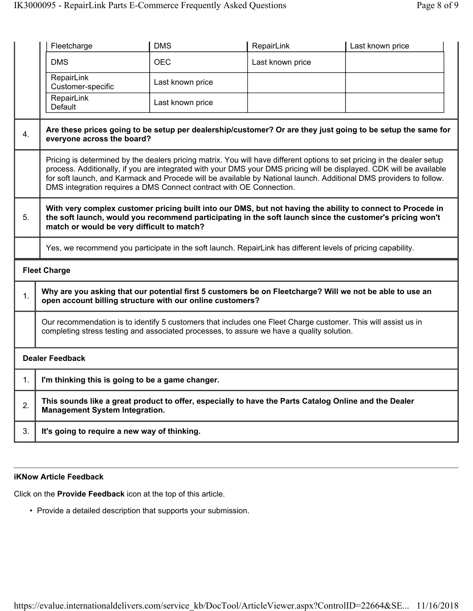|    | Fleetcharge                                                                                                                                    | <b>DMS</b>                                                                                                                                                                                                                                                                                                                                                                                                                                   | RepairLink       | Last known price                                                                                                                                                                                                       |  |  |
|----|------------------------------------------------------------------------------------------------------------------------------------------------|----------------------------------------------------------------------------------------------------------------------------------------------------------------------------------------------------------------------------------------------------------------------------------------------------------------------------------------------------------------------------------------------------------------------------------------------|------------------|------------------------------------------------------------------------------------------------------------------------------------------------------------------------------------------------------------------------|--|--|
|    | <b>DMS</b>                                                                                                                                     | <b>OEC</b>                                                                                                                                                                                                                                                                                                                                                                                                                                   | Last known price |                                                                                                                                                                                                                        |  |  |
|    | RepairLink<br>Customer-specific                                                                                                                | Last known price                                                                                                                                                                                                                                                                                                                                                                                                                             |                  |                                                                                                                                                                                                                        |  |  |
|    | RepairLink<br>Default                                                                                                                          | Last known price                                                                                                                                                                                                                                                                                                                                                                                                                             |                  |                                                                                                                                                                                                                        |  |  |
| 4. | Are these prices going to be setup per dealership/customer? Or are they just going to be setup the same for<br>everyone across the board?      |                                                                                                                                                                                                                                                                                                                                                                                                                                              |                  |                                                                                                                                                                                                                        |  |  |
|    |                                                                                                                                                | Pricing is determined by the dealers pricing matrix. You will have different options to set pricing in the dealer setup<br>process. Additionally, if you are integrated with your DMS your DMS pricing will be displayed. CDK will be available<br>for soft launch, and Karmack and Procede will be available by National launch. Additional DMS providers to follow.<br>DMS integration requires a DMS Connect contract with OE Connection. |                  |                                                                                                                                                                                                                        |  |  |
| 5. | match or would be very difficult to match?                                                                                                     |                                                                                                                                                                                                                                                                                                                                                                                                                                              |                  | With very complex customer pricing built into our DMS, but not having the ability to connect to Procede in<br>the soft launch, would you recommend participating in the soft launch since the customer's pricing won't |  |  |
|    |                                                                                                                                                | Yes, we recommend you participate in the soft launch. RepairLink has different levels of pricing capability.                                                                                                                                                                                                                                                                                                                                 |                  |                                                                                                                                                                                                                        |  |  |
|    | <b>Fleet Charge</b>                                                                                                                            |                                                                                                                                                                                                                                                                                                                                                                                                                                              |                  |                                                                                                                                                                                                                        |  |  |
| 1. | open account billing structure with our online customers?                                                                                      |                                                                                                                                                                                                                                                                                                                                                                                                                                              |                  | Why are you asking that our potential first 5 customers be on Fleetcharge? Will we not be able to use an                                                                                                               |  |  |
|    |                                                                                                                                                | Our recommendation is to identify 5 customers that includes one Fleet Charge customer. This will assist us in<br>completing stress testing and associated processes, to assure we have a quality solution.                                                                                                                                                                                                                                   |                  |                                                                                                                                                                                                                        |  |  |
|    | <b>Dealer Feedback</b>                                                                                                                         |                                                                                                                                                                                                                                                                                                                                                                                                                                              |                  |                                                                                                                                                                                                                        |  |  |
| 1. | I'm thinking this is going to be a game changer.                                                                                               |                                                                                                                                                                                                                                                                                                                                                                                                                                              |                  |                                                                                                                                                                                                                        |  |  |
| 2. | This sounds like a great product to offer, especially to have the Parts Catalog Online and the Dealer<br><b>Management System Integration.</b> |                                                                                                                                                                                                                                                                                                                                                                                                                                              |                  |                                                                                                                                                                                                                        |  |  |
| 3. |                                                                                                                                                | It's going to require a new way of thinking.                                                                                                                                                                                                                                                                                                                                                                                                 |                  |                                                                                                                                                                                                                        |  |  |

## iKNow Article Feedback

Click on the Provide Feedback icon at the top of this article.

• Provide a detailed description that supports your submission.